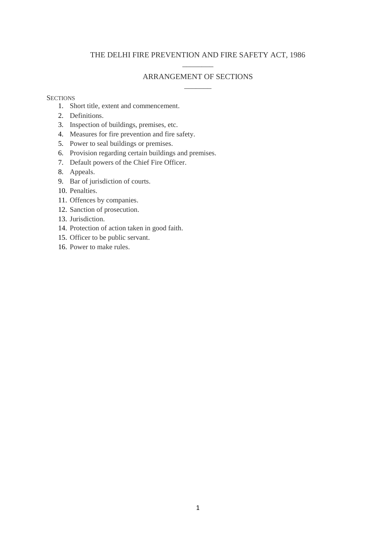# THE DELHI FIRE PREVENTION AND FIRE SAFETY ACT, 1986  $\overline{\phantom{a}}$  . The set of the set of the set of the set of the set of the set of the set of the set of the set of the set of the set of the set of the set of the set of the set of the set of the set of the set of the set o

# ARRANGEMENT OF SECTIONS  $\overline{\phantom{a}}$

### **SECTIONS**

- 1. Short title, extent and commencement.
- 2. Definitions.
- 3. Inspection of buildings, premises, etc.
- 4. Measures for fire prevention and fire safety.
- 5. Power to seal buildings or premises.
- 6. Provision regarding certain buildings and premises.
- 7. Default powers of the Chief Fire Officer.
- 8. Appeals.
- 9. Bar of jurisdiction of courts.
- 10. Penalties.
- 11. Offences by companies.
- 12. Sanction of prosecution.
- 13. Jurisdiction.
- 14. Protection of action taken in good faith.
- 15. Officer to be public servant.
- 16. Power to make rules.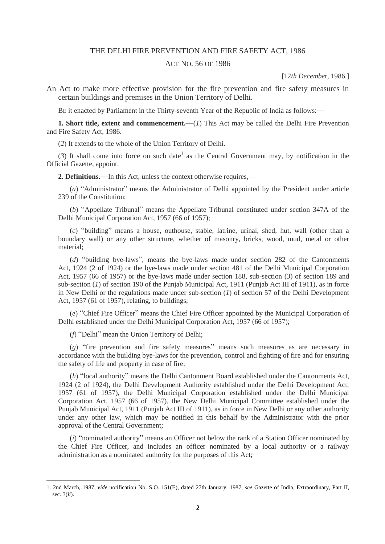#### THE DELHI FIRE PREVENTION AND FIRE SAFETY ACT, 1986

### ACT NO. 56 OF 1986

[12*th Decembe*r, 1986.]

An Act to make more effective provision for the fire prevention and fire safety measures in certain buildings and premises in the Union Territory of Delhi.

BE it enacted by Parliament in the Thirty-seventh Year of the Republic of India as follows:—

**1. Short title, extent and commencement.**—(*1*) This Act may be called the Delhi Fire Prevention and Fire Safety Act, 1986.

(*2*) It extends to the whole of the Union Territory of Delhi.

 $(3)$  It shall come into force on such date<sup>1</sup> as the Central Government may, by notification in the Official Gazette, appoint.

**2. Definitions.**—In this Act, unless the context otherwise requires,—

(*a*) "Administrator" means the Administrator of Delhi appointed by the President under article 239 of the Constitution;

(*b*) "Appellate Tribunal" means the Appellate Tribunal constituted under section 347A of the Delhi Municipal Corporation Act, 1957 (66 of 1957);

(*c*) "building" means a house, outhouse, stable, latrine, urinal, shed, hut, wall (other than a boundary wall) or any other structure, whether of masonry, bricks, wood, mud, metal or other material;

(*d*) "building bye-laws", means the bye-laws made under section 282 of the Cantonments Act, 1924 (2 of 1924) or the bye-laws made under section 481 of the Delhi Municipal Corporation Act, 1957 (66 of 1957) or the bye-laws made under section 188, sub-section (*3*) of section 189 and sub-section (*1*) of section 190 of the Punjab Municipal Act, 1911 (Punjab Act III of 1911), as in force in New Delhi or the regulations made under sub-section (*1*) of section 57 of the Delhi Development Act, 1957 (61 of 1957), relating, to buildings;

(*e*) "Chief Fire Officer" means the Chief Fire Officer appointed by the Municipal Corporation of Delhi established under the Delhi Municipal Corporation Act, 1957 (66 of 1957);

(*f*) "Delhi" mean the Union Territory of Delhi;

1

(*g*) "fire prevention and fire safety measures" means such measures as are necessary in accordance with the building bye-laws for the prevention, control and fighting of fire and for ensuring the safety of life and property in case of fire;

(*h*) "local authority" means the Delhi Cantonment Board established under the Cantonments Act, 1924 (2 of 1924), the Delhi Development Authority established under the Delhi Development Act, 1957 (61 of 1957), the Delhi Municipal Corporation established under the Delhi Municipal Corporation Act, 1957 (66 of 1957), the New Delhi Municipal Committee established under the Punjab Municipal Act, 1911 (Punjab Act III of 1911), as in force in New Delhi or any other authority under any other law, which may be notified in this behalf by the Administrator with the prior approval of the Central Government;

(*i*) "nominated authority" means an Officer not below the rank of a Station Officer nominated by the Chief Fire Officer, and includes an officer nominated by a local authority or a railway administration as a nominated authority for the purposes of this Act;

<sup>1. 2</sup>nd March, 1987, *vide* notification No. S.O. 151(E), dated 27th January, 1987, *see* Gazette of India, Extraordinary, Part II, sec. 3(*ii*).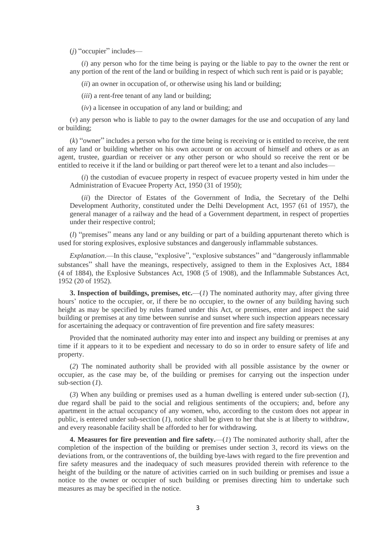(*j*) "occupier" includes—

(*i*) any person who for the time being is paying or the liable to pay to the owner the rent or any portion of the rent of the land or building in respect of which such rent is paid or is payable;

(*ii*) an owner in occupation of, or otherwise using his land or building;

(*iii*) a rent-free tenant of any land or building;

(*iv*) a licensee in occupation of any land or building; and

(*v*) any person who is liable to pay to the owner damages for the use and occupation of any land or building;

(*k*) "owner" includes a person who for the time being is receiving or is entitled to receive, the rent of any land or building whether on his own account or on account of himself and others or as an agent, trustee, guardian or receiver or any other person or who should so receive the rent or be entitled to receive it if the land or building or part thereof were let to a tenant and also includes—

(*i*) the custodian of evacuee property in respect of evacuee property vested in him under the Administration of Evacuee Property Act, 1950 (31 of 1950);

(*ii*) the Director of Estates of the Government of India, the Secretary of the Delhi Development Authority, constituted under the Delhi Development Act, 1957 (61 of 1957), the general manager of a railway and the head of a Government department, in respect of properties under their respective control;

(*l*) "premises" means any land or any building or part of a building appurtenant thereto which is used for storing explosives, explosive substances and dangerously inflammable substances.

*Explanation*.—In this clause, "explosive", "explosive substances" and "dangerously inflammable substances" shall have the meanings, respectively, assigned to them in the Explosives Act, 1884 (4 of 1884), the Explosive Substances Act, 1908 (5 of 1908), and the Inflammable Substances Act, 1952 (20 of 1952).

**3. Inspection of buildings, premises, etc.**—(*1*) The nominated authority may, after giving three hours' notice to the occupier, or, if there be no occupier, to the owner of any building having such height as may be specified by rules framed under this Act, or premises, enter and inspect the said building or premises at any time between sunrise and sunset where such inspection appears necessary for ascertaining the adequacy or contravention of fire prevention and fire safety measures:

Provided that the nominated authority may enter into and inspect any building or premises at any time if it appears to it to be expedient and necessary to do so in order to ensure safety of life and property.

(*2*) The nominated authority shall be provided with all possible assistance by the owner or occupier, as the case may be, of the building or premises for carrying out the inspection under sub-section (*1*).

(*3*) When any building or premises used as a human dwelling is entered under sub-section (*1*), due regard shall be paid to the social and religious sentiments of the occupiers; and, before any apartment in the actual occupancy of any women, who, according to the custom does not appear in public, is entered under sub-section (*1*), notice shall be given to her that she is at liberty to withdraw, and every reasonable facility shall be afforded to her for withdrawing.

**4. Measures for fire prevention and fire safety.**—(*1*) The nominated authority shall, after the completion of the inspection of the building or premises under section 3, record its views on the deviations from, or the contraventions of, the building bye-laws with regard to the fire prevention and fire safety measures and the inadequacy of such measures provided therein with reference to the height of the building or the nature of activities carried on in such building or premises and issue a notice to the owner or occupier of such building or premises directing him to undertake such measures as may be specified in the notice.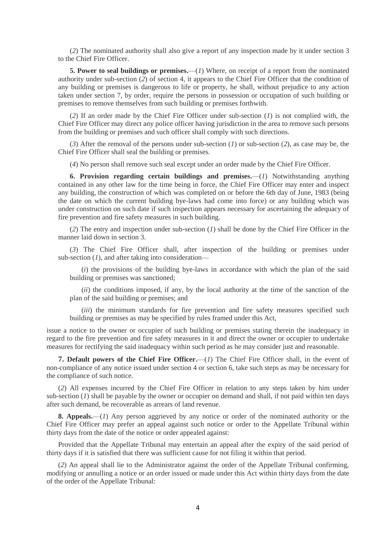(*2*) The nominated authority shall also give a report of any inspection made by it under section 3 to the Chief Fire Officer.

**5. Power to seal buildings or premises.**—(*1*) Where, on receipt of a report from the nominated authority under sub-section (*2*) of section 4, it appears to the Chief Fire Officer that the condition of any building or premises is dangerous to life or property, he shall, without prejudice to any action taken under section 7, by order, require the persons in possession or occupation of such building or premises to remove themselves from such building or premises forthwith.

(*2*) If an order made by the Chief Fire Officer under sub-section (*1*) is not complied with, the Chief Fire Officer may direct any police officer having jurisdiction in the area to remove such persons from the building or premises and such officer shall comply with such directions.

(*3*) After the removal of the persons under sub-section (*1*) or sub-section (*2*), as case may be, the Chief Fire Officer shall seal the building or premises.

(*4*) No person shall remove such seal except under an order made by the Chief Fire Officer.

**6. Provision regarding certain buildings and premises.**—(*1*) Notwithstanding anything contained in any other law for the time being in force, the Chief Fire Officer may enter and inspect any building, the construction of which was completed on or before the 6th day of June, 1983 (being the date on which the current building bye-laws had come into force) or any building which was under construction on such date if such inspection appears necessary for ascertaining the adequacy of fire prevention and fire safety measures in such building.

(*2*) The entry and inspection under sub-section (*1*) shall be done by the Chief Fire Officer in the manner laid down in section 3.

(*3*) The Chief Fire Officer shall, after inspection of the building or premises under sub-section (*1*), and after taking into consideration—

(*i*) the provisions of the building bye-laws in accordance with which the plan of the said building or premises was sanctioned;

(*ii*) the conditions imposed, if any, by the local authority at the time of the sanction of the plan of the said building or premises; and

(*iii*) the minimum standards for fire prevention and fire safety measures specified such building or premises as may be specified by rules framed under this Act,

issue a notice to the owner or occupier of such building or premises stating therein the inadequacy in regard to the fire prevention and fire safety measures in it and direct the owner or occupier to undertake measures for rectifying the said inadequacy within such period as he may consider just and reasonable.

**7. Default powers of the Chief Fire Officer.**—(*1*) The Chief Fire Officer shall, in the event of non-compliance of any notice issued under section 4 or section 6, take such steps as may be necessary for the compliance of such notice.

(*2*) All expenses incurred by the Chief Fire Officer in relation to any steps taken by him under sub-section (*1*) shall be payable by the owner or occupier on demand and shall, if not paid within ten days after such demand, be recoverable as arrears of land revenue.

**8. Appeals.**—(*1*) Any person aggrieved by any notice or order of the nominated authority or the Chief Fire Officer may prefer an appeal against such notice or order to the Appellate Tribunal within thirty days from the date of the notice or order appealed against:

Provided that the Appellate Tribunal may entertain an appeal after the expiry of the said period of thirty days if it is satisfied that there was sufficient cause for not filing it within that period.

(*2*) An appeal shall lie to the Administrator against the order of the Appellate Tribunal confirming, modifying or annulling a notice or an order issued or made under this Act within thirty days from the date of the order of the Appellate Tribunal: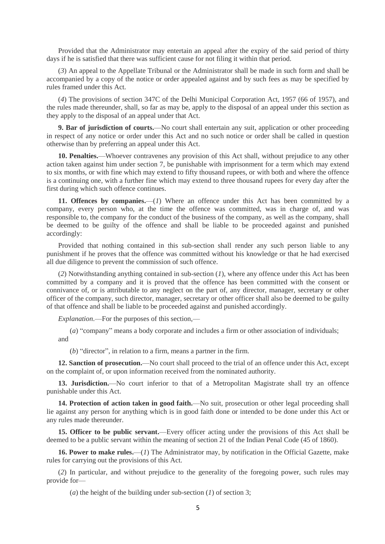Provided that the Administrator may entertain an appeal after the expiry of the said period of thirty days if he is satisfied that there was sufficient cause for not filing it within that period.

(*3*) An appeal to the Appellate Tribunal or the Administrator shall be made in such form and shall be accompanied by a copy of the notice or order appealed against and by such fees as may be specified by rules framed under this Act.

(*4*) The provisions of section 347C of the Delhi Municipal Corporation Act, 1957 (66 of 1957), and the rules made thereunder, shall, so far as may be, apply to the disposal of an appeal under this section as they apply to the disposal of an appeal under that Act.

**9. Bar of jurisdiction of courts.—No** court shall entertain any suit, application or other proceeding in respect of any notice or order under this Act and no such notice or order shall be called in question otherwise than by preferring an appeal under this Act.

**10. Penalties.**—Whoever contravenes any provision of this Act shall, without prejudice to any other action taken against him under section 7, be punishable with imprisonment for a term which may extend to six months, or with fine which may extend to fifty thousand rupees, or with both and where the offence is a continuing one, with a further fine which may extend to three thousand rupees for every day after the first during which such offence continues.

**11. Offences by companies.**—(*1*) Where an offence under this Act has been committed by a company, every person who, at the time the offence was committed, was in charge of, and was responsible to, the company for the conduct of the business of the company, as well as the company, shall be deemed to be guilty of the offence and shall be liable to be proceeded against and punished accordingly:

Provided that nothing contained in this sub-section shall render any such person liable to any punishment if he proves that the offence was committed without his knowledge or that he had exercised all due diligence to prevent the commission of such offence.

(*2*) Notwithstanding anything contained in sub-section (*1*), where any offence under this Act has been committed by a company and it is proved that the offence has been committed with the consent or connivance of, or is attributable to any neglect on the part of, any director, manager, secretary or other officer of the company, such director, manager, secretary or other officer shall also be deemed to be guilty of that offence and shall be liable to be proceeded against and punished accordingly.

*Explanation*.—For the purposes of this section,—

(*a*) "company" means a body corporate and includes a firm or other association of individuals; and

(*b*) "director", in relation to a firm, means a partner in the firm.

**12. Sanction of prosecution.**—No court shall proceed to the trial of an offence under this Act, except on the complaint of, or upon information received from the nominated authority.

**13. Jurisdiction.**—No court inferior to that of a Metropolitan Magistrate shall try an offence punishable under this Act.

**14. Protection of action taken in good faith.**—No suit, prosecution or other legal proceeding shall lie against any person for anything which is in good faith done or intended to be done under this Act or any rules made thereunder.

**15. Officer to be public servant.**—Every officer acting under the provisions of this Act shall be deemed to be a public servant within the meaning of section 21 of the Indian Penal Code (45 of 1860).

**16. Power to make rules.**—(*1*) The Administrator may, by notification in the Official Gazette, make rules for carrying out the provisions of this Act.

(*2*) In particular, and without prejudice to the generality of the foregoing power, such rules may provide for—

(*a*) the height of the building under sub-section (*1*) of section 3;